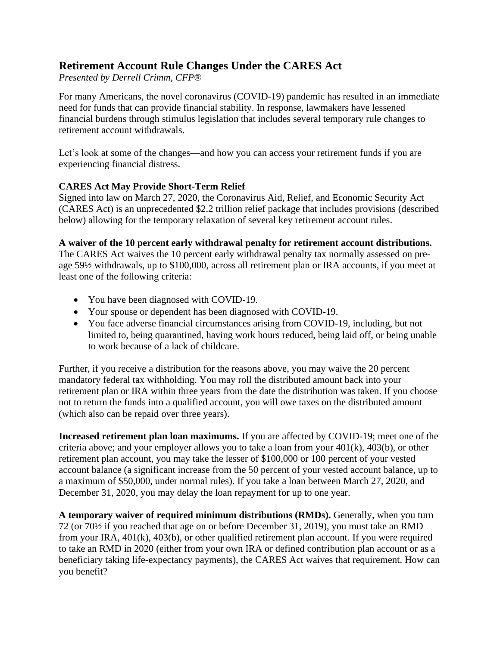## **Retirement Account Rule Changes Under the CARES Act**

*Presented by Derrell Crimm, CFP®*

For many Americans, the novel coronavirus (COVID-19) pandemic has resulted in an immediate need for funds that can provide financial stability. In response, lawmakers have lessened financial burdens through stimulus legislation that includes several temporary rule changes to retirement account withdrawals.

Let's look at some of the changes—and how you can access your retirement funds if you are experiencing financial distress.

## **CARES Act May Provide Short-Term Relief**

Signed into law on March 27, 2020, the Coronavirus Aid, Relief, and Economic Security Act (CARES Act) is an unprecedented \$2.2 trillion relief package that includes provisions (described below) allowing for the temporary relaxation of several key retirement account rules.

## **A waiver of the 10 percent early withdrawal penalty for retirement account distributions.**

The CARES Act waives the 10 percent early withdrawal penalty tax normally assessed on preage 59½ withdrawals, up to \$100,000, across all retirement plan or IRA accounts, if you meet at least one of the following criteria:

- You have been diagnosed with COVID-19.
- Your spouse or dependent has been diagnosed with COVID-19.
- You face adverse financial circumstances arising from COVID-19, including, but not limited to, being quarantined, having work hours reduced, being laid off, or being unable to work because of a lack of childcare.

Further, if you receive a distribution for the reasons above, you may waive the 20 percent mandatory federal tax withholding. You may roll the distributed amount back into your retirement plan or IRA within three years from the date the distribution was taken. If you choose not to return the funds into a qualified account, you will owe taxes on the distributed amount (which also can be repaid over three years).

**Increased retirement plan loan maximums.** If you are affected by COVID-19; meet one of the criteria above; and your employer allows you to take a loan from your 401(k), 403(b), or other retirement plan account, you may take the lesser of \$100,000 or 100 percent of your vested account balance (a significant increase from the 50 percent of your vested account balance, up to a maximum of \$50,000, under normal rules). If you take a loan between March 27, 2020, and December 31, 2020, you may delay the loan repayment for up to one year.

**A temporary waiver of required minimum distributions (RMDs).** Generally, when you turn 72 (or 70½ if you reached that age on or before December 31, 2019), you must take an RMD from your IRA, 401(k), 403(b), or other qualified retirement plan account. If you were required to take an RMD in 2020 (either from your own IRA or defined contribution plan account or as a beneficiary taking life-expectancy payments), the CARES Act waives that requirement. How can you benefit?